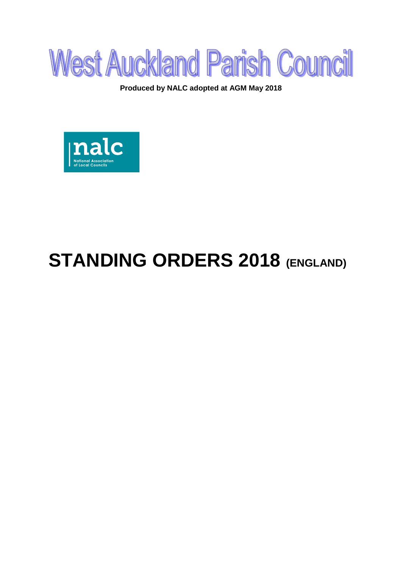

**Produced by NALC adopted at AGM May 2018**



# **STANDING ORDERS 2018 (ENGLAND)**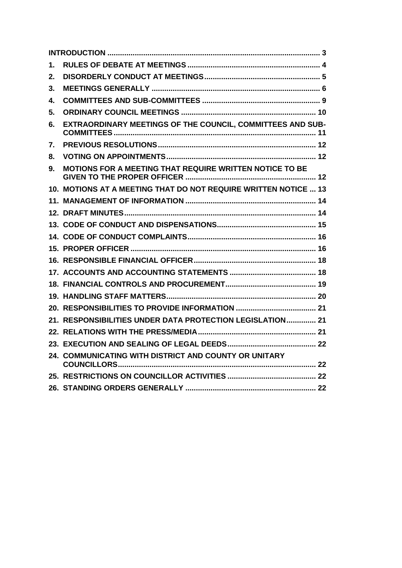<span id="page-1-0"></span>

| 1. |                                                                 |  |
|----|-----------------------------------------------------------------|--|
| 2. |                                                                 |  |
| 3. |                                                                 |  |
| 4. |                                                                 |  |
| 5. |                                                                 |  |
| 6. | EXTRAORDINARY MEETINGS OF THE COUNCIL, COMMITTEES AND SUB-      |  |
| 7. |                                                                 |  |
| 8. |                                                                 |  |
| 9. | <b>MOTIONS FOR A MEETING THAT REQUIRE WRITTEN NOTICE TO BE</b>  |  |
|    | 10. MOTIONS AT A MEETING THAT DO NOT REQUIRE WRITTEN NOTICE  13 |  |
|    |                                                                 |  |
|    |                                                                 |  |
|    |                                                                 |  |
|    |                                                                 |  |
|    |                                                                 |  |
|    |                                                                 |  |
|    |                                                                 |  |
|    |                                                                 |  |
|    |                                                                 |  |
|    |                                                                 |  |
|    | 21. RESPONSIBILITIES UNDER DATA PROTECTION LEGISLATION 21       |  |
|    |                                                                 |  |
|    |                                                                 |  |
|    | 24. COMMUNICATING WITH DISTRICT AND COUNTY OR UNITARY           |  |
|    |                                                                 |  |
|    |                                                                 |  |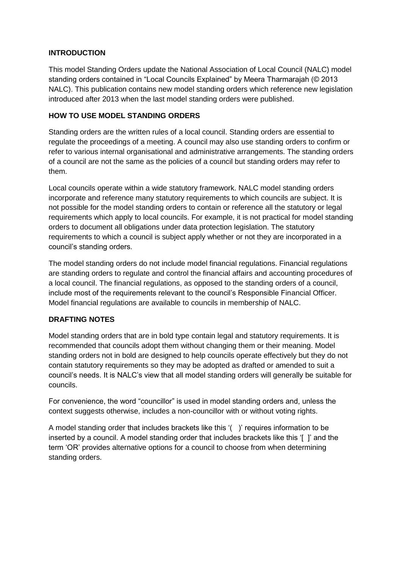## **INTRODUCTION**

This model Standing Orders update the National Association of Local Council (NALC) model standing orders contained in "Local Councils Explained" by Meera Tharmarajah (© 2013 NALC). This publication contains new model standing orders which reference new legislation introduced after 2013 when the last model standing orders were published.

# **HOW TO USE MODEL STANDING ORDERS**

Standing orders are the written rules of a local council. Standing orders are essential to regulate the proceedings of a meeting. A council may also use standing orders to confirm or refer to various internal organisational and administrative arrangements. The standing orders of a council are not the same as the policies of a council but standing orders may refer to them.

Local councils operate within a wide statutory framework. NALC model standing orders incorporate and reference many statutory requirements to which councils are subject. It is not possible for the model standing orders to contain or reference all the statutory or legal requirements which apply to local councils. For example, it is not practical for model standing orders to document all obligations under data protection legislation. The statutory requirements to which a council is subject apply whether or not they are incorporated in a council's standing orders.

The model standing orders do not include model financial regulations. Financial regulations are standing orders to regulate and control the financial affairs and accounting procedures of a local council. The financial regulations, as opposed to the standing orders of a council, include most of the requirements relevant to the council's Responsible Financial Officer. Model financial regulations are available to councils in membership of NALC.

# **DRAFTING NOTES**

Model standing orders that are in bold type contain legal and statutory requirements. It is recommended that councils adopt them without changing them or their meaning. Model standing orders not in bold are designed to help councils operate effectively but they do not contain statutory requirements so they may be adopted as drafted or amended to suit a council's needs. It is NALC's view that all model standing orders will generally be suitable for councils.

For convenience, the word "councillor" is used in model standing orders and, unless the context suggests otherwise, includes a non-councillor with or without voting rights.

A model standing order that includes brackets like this '( )' requires information to be inserted by a council. A model standing order that includes brackets like this '[ ]' and the term 'OR' provides alternative options for a council to choose from when determining standing orders.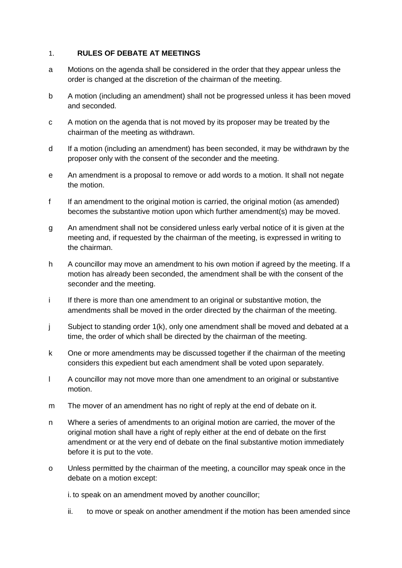### <span id="page-3-0"></span>1. **RULES OF DEBATE AT MEETINGS**

- a Motions on the agenda shall be considered in the order that they appear unless the order is changed at the discretion of the chairman of the meeting.
- b A motion (including an amendment) shall not be progressed unless it has been moved and seconded.
- c A motion on the agenda that is not moved by its proposer may be treated by the chairman of the meeting as withdrawn.
- d If a motion (including an amendment) has been seconded, it may be withdrawn by the proposer only with the consent of the seconder and the meeting.
- e An amendment is a proposal to remove or add words to a motion. It shall not negate the motion.
- f If an amendment to the original motion is carried, the original motion (as amended) becomes the substantive motion upon which further amendment(s) may be moved.
- g An amendment shall not be considered unless early verbal notice of it is given at the meeting and, if requested by the chairman of the meeting, is expressed in writing to the chairman.
- h A councillor may move an amendment to his own motion if agreed by the meeting. If a motion has already been seconded, the amendment shall be with the consent of the seconder and the meeting.
- i If there is more than one amendment to an original or substantive motion, the amendments shall be moved in the order directed by the chairman of the meeting.
- j Subject to standing order 1(k), only one amendment shall be moved and debated at a time, the order of which shall be directed by the chairman of the meeting.
- k One or more amendments may be discussed together if the chairman of the meeting considers this expedient but each amendment shall be voted upon separately.
- l A councillor may not move more than one amendment to an original or substantive motion.
- m The mover of an amendment has no right of reply at the end of debate on it.
- n Where a series of amendments to an original motion are carried, the mover of the original motion shall have a right of reply either at the end of debate on the first amendment or at the very end of debate on the final substantive motion immediately before it is put to the vote.
- o Unless permitted by the chairman of the meeting, a councillor may speak once in the debate on a motion except:

i. to speak on an amendment moved by another councillor;

ii. to move or speak on another amendment if the motion has been amended since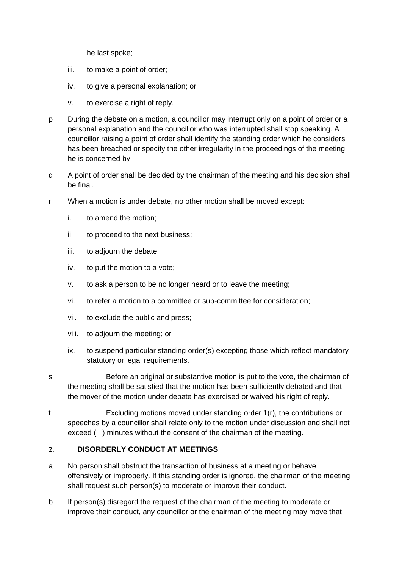he last spoke;

- iii. to make a point of order;
- iv. to give a personal explanation; or
- v. to exercise a right of reply.
- p During the debate on a motion, a councillor may interrupt only on a point of order or a personal explanation and the councillor who was interrupted shall stop speaking. A councillor raising a point of order shall identify the standing order which he considers has been breached or specify the other irregularity in the proceedings of the meeting he is concerned by.
- q A point of order shall be decided by the chairman of the meeting and his decision shall be final.
- r When a motion is under debate, no other motion shall be moved except:
	- i. to amend the motion;
	- ii. to proceed to the next business;
	- iii. to adjourn the debate;
	- iv. to put the motion to a vote;
	- v. to ask a person to be no longer heard or to leave the meeting;
	- vi. to refer a motion to a committee or sub-committee for consideration;
	- vii. to exclude the public and press;
	- viii. to adjourn the meeting; or
	- ix. to suspend particular standing order(s) excepting those which reflect mandatory statutory or legal requirements.
- s Before an original or substantive motion is put to the vote, the chairman of the meeting shall be satisfied that the motion has been sufficiently debated and that the mover of the motion under debate has exercised or waived his right of reply.
- t Excluding motions moved under standing order 1(r), the contributions or speeches by a councillor shall relate only to the motion under discussion and shall not exceed () minutes without the consent of the chairman of the meeting.

# <span id="page-4-0"></span>2. **DISORDERLY CONDUCT AT MEETINGS**

- a No person shall obstruct the transaction of business at a meeting or behave offensively or improperly. If this standing order is ignored, the chairman of the meeting shall request such person(s) to moderate or improve their conduct.
- b If person(s) disregard the request of the chairman of the meeting to moderate or improve their conduct, any councillor or the chairman of the meeting may move that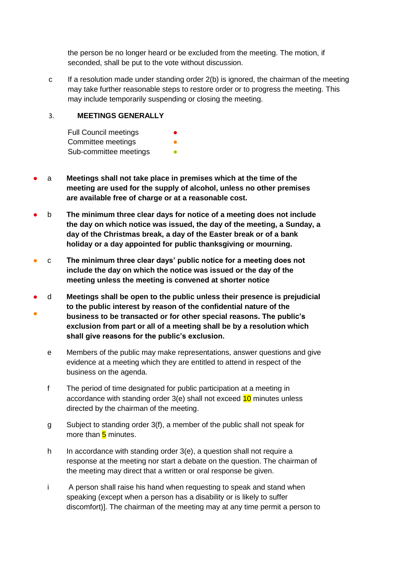the person be no longer heard or be excluded from the meeting. The motion, if seconded, shall be put to the vote without discussion.

c If a resolution made under standing order 2(b) is ignored, the chairman of the meeting may take further reasonable steps to restore order or to progress the meeting. This may include temporarily suspending or closing the meeting.

# <span id="page-5-0"></span>3. **MEETINGS GENERALLY**

Full Council meetings Committee meetings Sub-committee meetings **•** 

- a **Meetings shall not take place in premises which at the time of the meeting are used for the supply of alcohol, unless no other premises are available free of charge or at a reasonable cost.**
- b **The minimum three clear days for notice of a meeting does not include the day on which notice was issued, the day of the meeting, a Sunday, a day of the Christmas break, a day of the Easter break or of a bank holiday or a day appointed for public thanksgiving or mourning.**
- c **The minimum three clear days' public notice for a meeting does not include the day on which the notice was issued or the day of the meeting unless the meeting is convened at shorter notice**
- ● d **Meetings shall be open to the public unless their presence is prejudicial to the public interest by reason of the confidential nature of the business to be transacted or for other special reasons. The public's exclusion from part or all of a meeting shall be by a resolution which shall give reasons for the public's exclusion.**
	- e Members of the public may make representations, answer questions and give evidence at a meeting which they are entitled to attend in respect of the business on the agenda.
	- f The period of time designated for public participation at a meeting in accordance with standing order 3(e) shall not exceed 10 minutes unless directed by the chairman of the meeting.
	- g Subject to standing order 3(f), a member of the public shall not speak for more than 5 minutes.
	- h In accordance with standing order 3(e), a question shall not require a response at the meeting nor start a debate on the question. The chairman of the meeting may direct that a written or oral response be given.
	- i A person shall raise his hand when requesting to speak and stand when speaking (except when a person has a disability or is likely to suffer discomfort)]. The chairman of the meeting may at any time permit a person to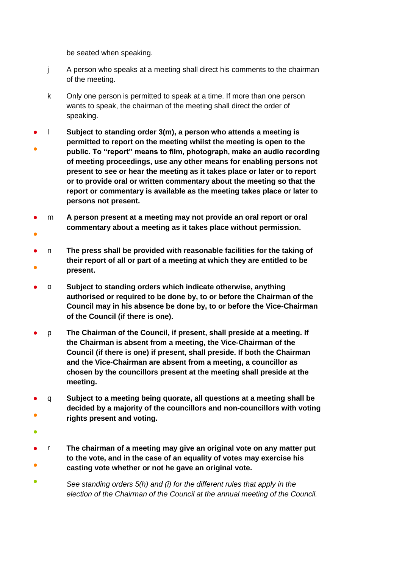be seated when speaking.

- j A person who speaks at a meeting shall direct his comments to the chairman of the meeting.
- k Only one person is permitted to speak at a time. If more than one person wants to speak, the chairman of the meeting shall direct the order of speaking.
- ● l **Subject to standing order 3(m), a person who attends a meeting is permitted to report on the meeting whilst the meeting is open to the public. To "report" means to film, photograph, make an audio recording of meeting proceedings, use any other means for enabling persons not present to see or hear the meeting as it takes place or later or to report or to provide oral or written commentary about the meeting so that the report or commentary is available as the meeting takes place or later to persons not present.**
- ● m **A person present at a meeting may not provide an oral report or oral commentary about a meeting as it takes place without permission.**
- ● n **The press shall be provided with reasonable facilities for the taking of their report of all or part of a meeting at which they are entitled to be present.**
- o **Subject to standing orders which indicate otherwise, anything authorised or required to be done by, to or before the Chairman of the Council may in his absence be done by, to or before the Vice-Chairman of the Council (if there is one).**
- p **The Chairman of the Council, if present, shall preside at a meeting. If the Chairman is absent from a meeting, the Vice-Chairman of the Council (if there is one) if present, shall preside. If both the Chairman and the Vice-Chairman are absent from a meeting, a councillor as chosen by the councillors present at the meeting shall preside at the meeting.**
- ● q **Subject to a meeting being quorate, all questions at a meeting shall be decided by a majority of the councillors and non-councillors with voting rights present and voting.**
- ●
- ● r **The chairman of a meeting may give an original vote on any matter put to the vote, and in the case of an equality of votes may exercise his casting vote whether or not he gave an original vote.**
- *See standing orders 5(h) and (i) for the different rules that apply in the election of the Chairman of the Council at the annual meeting of the Council.*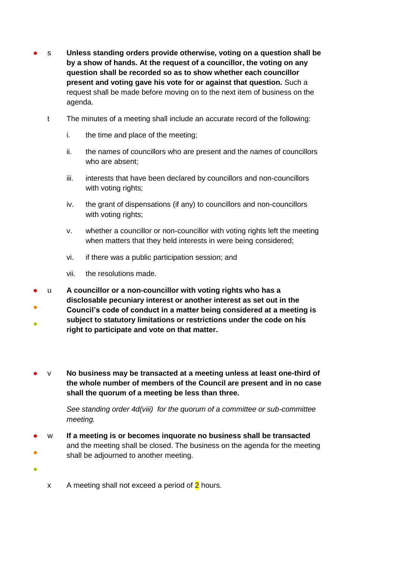- s **Unless standing orders provide otherwise, voting on a question shall be by a show of hands. At the request of a councillor, the voting on any question shall be recorded so as to show whether each councillor present and voting gave his vote for or against that question.** Such a request shall be made before moving on to the next item of business on the agenda.
	- t The minutes of a meeting shall include an accurate record of the following:
		- i. the time and place of the meeting;
		- ii. the names of councillors who are present and the names of councillors who are absent;
		- iii. interests that have been declared by councillors and non-councillors with voting rights;
		- iv. the grant of dispensations (if any) to councillors and non-councillors with voting rights;
		- v. whether a councillor or non-councillor with voting rights left the meeting when matters that they held interests in were being considered;
		- vi. if there was a public participation session; and
		- vii. the resolutions made.
- ● u **A councillor or a non-councillor with voting rights who has a disclosable pecuniary interest or another interest as set out in the Council's code of conduct in a matter being considered at a meeting is subject to statutory limitations or restrictions under the code on his**
- **right to participate and vote on that matter.**
- v **No business may be transacted at a meeting unless at least one-third of the whole number of members of the Council are present and in no case shall the quorum of a meeting be less than three.**

*See standing order 4d(viii) for the quorum of a committee or sub-committee meeting.* 

- ● w **If a meeting is or becomes inquorate no business shall be transacted** and the meeting shall be closed. The business on the agenda for the meeting shall be adjourned to another meeting.
	-

●

x A meeting shall not exceed a period of  $2$  hours.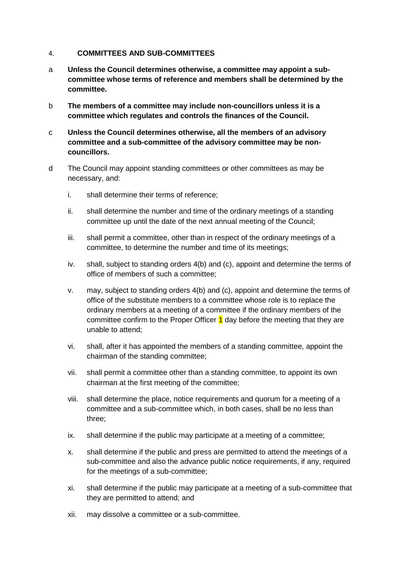#### <span id="page-8-0"></span>4. **COMMITTEES AND SUB-COMMITTEES**

- a **Unless the Council determines otherwise, a committee may appoint a subcommittee whose terms of reference and members shall be determined by the committee.**
- b **The members of a committee may include non-councillors unless it is a committee which regulates and controls the finances of the Council.**
- c **Unless the Council determines otherwise, all the members of an advisory committee and a sub-committee of the advisory committee may be noncouncillors.**
- d The Council may appoint standing committees or other committees as may be necessary, and:
	- i. shall determine their terms of reference;
	- ii. shall determine the number and time of the ordinary meetings of a standing committee up until the date of the next annual meeting of the Council;
	- iii. shall permit a committee, other than in respect of the ordinary meetings of a committee, to determine the number and time of its meetings;
	- iv. shall, subject to standing orders 4(b) and (c), appoint and determine the terms of office of members of such a committee;
	- v. may, subject to standing orders 4(b) and (c), appoint and determine the terms of office of the substitute members to a committee whose role is to replace the ordinary members at a meeting of a committee if the ordinary members of the committee confirm to the Proper Officer  $\frac{1}{1}$  day before the meeting that they are unable to attend;
	- vi. shall, after it has appointed the members of a standing committee, appoint the chairman of the standing committee;
	- vii. shall permit a committee other than a standing committee, to appoint its own chairman at the first meeting of the committee;
	- viii. shall determine the place, notice requirements and quorum for a meeting of a committee and a sub-committee which, in both cases, shall be no less than three;
	- ix. shall determine if the public may participate at a meeting of a committee;
	- x. shall determine if the public and press are permitted to attend the meetings of a sub-committee and also the advance public notice requirements, if any, required for the meetings of a sub-committee;
	- xi. shall determine if the public may participate at a meeting of a sub-committee that they are permitted to attend; and
	- xii. may dissolve a committee or a sub-committee.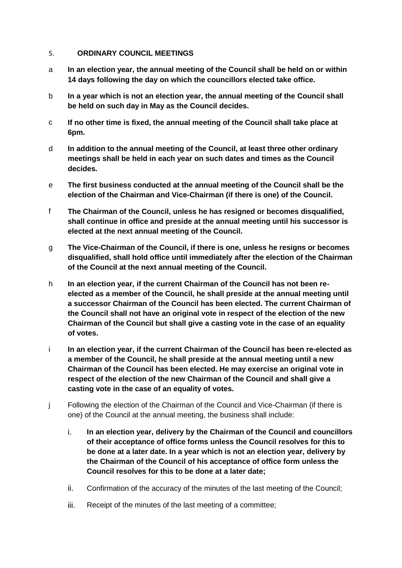#### <span id="page-9-0"></span>5. **ORDINARY COUNCIL MEETINGS**

- a **In an election year, the annual meeting of the Council shall be held on or within 14 days following the day on which the councillors elected take office.**
- b **In a year which is not an election year, the annual meeting of the Council shall be held on such day in May as the Council decides.**
- c **If no other time is fixed, the annual meeting of the Council shall take place at 6pm.**
- d **In addition to the annual meeting of the Council, at least three other ordinary meetings shall be held in each year on such dates and times as the Council decides.**
- e **The first business conducted at the annual meeting of the Council shall be the election of the Chairman and Vice-Chairman (if there is one) of the Council.**
- f **The Chairman of the Council, unless he has resigned or becomes disqualified, shall continue in office and preside at the annual meeting until his successor is elected at the next annual meeting of the Council.**
- g **The Vice-Chairman of the Council, if there is one, unless he resigns or becomes disqualified, shall hold office until immediately after the election of the Chairman of the Council at the next annual meeting of the Council.**
- h **In an election year, if the current Chairman of the Council has not been reelected as a member of the Council, he shall preside at the annual meeting until a successor Chairman of the Council has been elected. The current Chairman of the Council shall not have an original vote in respect of the election of the new Chairman of the Council but shall give a casting vote in the case of an equality of votes.**
- i **In an election year, if the current Chairman of the Council has been re-elected as a member of the Council, he shall preside at the annual meeting until a new Chairman of the Council has been elected. He may exercise an original vote in respect of the election of the new Chairman of the Council and shall give a casting vote in the case of an equality of votes.**
- j Following the election of the Chairman of the Council and Vice-Chairman (if there is one) of the Council at the annual meeting, the business shall include:
	- i. **In an election year, delivery by the Chairman of the Council and councillors of their acceptance of office forms unless the Council resolves for this to be done at a later date. In a year which is not an election year, delivery by the Chairman of the Council of his acceptance of office form unless the Council resolves for this to be done at a later date;**
	- ii. Confirmation of the accuracy of the minutes of the last meeting of the Council;
	- iii. Receipt of the minutes of the last meeting of a committee;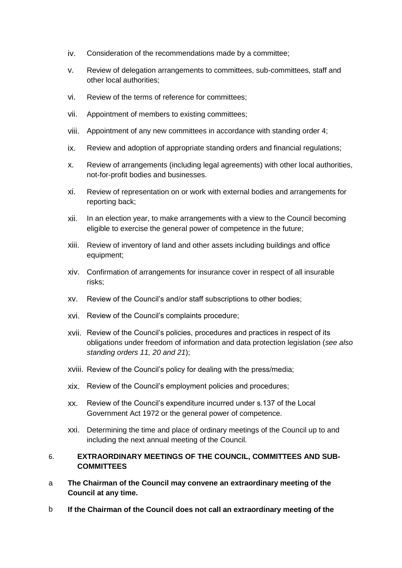- iv. Consideration of the recommendations made by a committee;
- v. Review of delegation arrangements to committees, sub-committees, staff and other local authorities;
- vi. Review of the terms of reference for committees;
- vii. Appointment of members to existing committees;
- viii. Appointment of any new committees in accordance with standing order 4;
- ix. Review and adoption of appropriate standing orders and financial regulations;
- x. Review of arrangements (including legal agreements) with other local authorities, not-for-profit bodies and businesses.
- xi. Review of representation on or work with external bodies and arrangements for reporting back;
- xii. In an election year, to make arrangements with a view to the Council becoming eligible to exercise the general power of competence in the future;
- xiii. Review of inventory of land and other assets including buildings and office equipment;
- xiv. Confirmation of arrangements for insurance cover in respect of all insurable risks;
- xv. Review of the Council's and/or staff subscriptions to other bodies;
- xvi. Review of the Council's complaints procedure;
- xvii. Review of the Council's policies, procedures and practices in respect of its obligations under freedom of information and data protection legislation (*see also standing orders 11, 20 and 21*);
- xviii. Review of the Council's policy for dealing with the press/media;
- xix. Review of the Council's employment policies and procedures;
- xx. Review of the Council's expenditure incurred under s.137 of the Local Government Act 1972 or the general power of competence.
- xxi. Determining the time and place of ordinary meetings of the Council up to and including the next annual meeting of the Council.

## <span id="page-10-0"></span>6. **EXTRAORDINARY MEETINGS OF THE COUNCIL, COMMITTEES AND SUB-COMMITTEES**

- a **The Chairman of the Council may convene an extraordinary meeting of the Council at any time.**
- b **If the Chairman of the Council does not call an extraordinary meeting of the**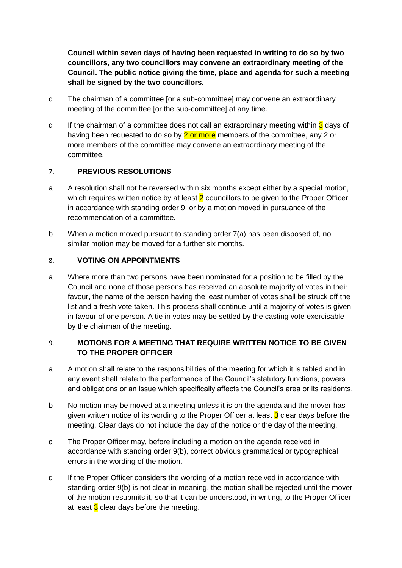**Council within seven days of having been requested in writing to do so by two councillors, any two councillors may convene an extraordinary meeting of the Council. The public notice giving the time, place and agenda for such a meeting shall be signed by the two councillors.**

- c The chairman of a committee [or a sub-committee] may convene an extraordinary meeting of the committee [or the sub-committee] at any time.
- d If the chairman of a committee does not call an extraordinary meeting within 3 days of having been requested to do so by  $2$  or more members of the committee, any 2 or more members of the committee may convene an extraordinary meeting of the committee.

## <span id="page-11-0"></span>7. **PREVIOUS RESOLUTIONS**

- a A resolution shall not be reversed within six months except either by a special motion, which requires written notice by at least  $2$  councillors to be given to the Proper Officer in accordance with standing order 9, or by a motion moved in pursuance of the recommendation of a committee.
- b When a motion moved pursuant to standing order 7(a) has been disposed of, no similar motion may be moved for a further six months.

## <span id="page-11-1"></span>8. **VOTING ON APPOINTMENTS**

a Where more than two persons have been nominated for a position to be filled by the Council and none of those persons has received an absolute majority of votes in their favour, the name of the person having the least number of votes shall be struck off the list and a fresh vote taken. This process shall continue until a majority of votes is given in favour of one person. A tie in votes may be settled by the casting vote exercisable by the chairman of the meeting.

## <span id="page-11-2"></span>9. **MOTIONS FOR A MEETING THAT REQUIRE WRITTEN NOTICE TO BE GIVEN TO THE PROPER OFFICER**

- a A motion shall relate to the responsibilities of the meeting for which it is tabled and in any event shall relate to the performance of the Council's statutory functions, powers and obligations or an issue which specifically affects the Council's area or its residents.
- b No motion may be moved at a meeting unless it is on the agenda and the mover has given written notice of its wording to the Proper Officer at least  $3$  clear days before the meeting. Clear days do not include the day of the notice or the day of the meeting.
- c The Proper Officer may, before including a motion on the agenda received in accordance with standing order 9(b), correct obvious grammatical or typographical errors in the wording of the motion.
- d If the Proper Officer considers the wording of a motion received in accordance with standing order 9(b) is not clear in meaning, the motion shall be rejected until the mover of the motion resubmits it, so that it can be understood, in writing, to the Proper Officer at least  $3$  clear days before the meeting.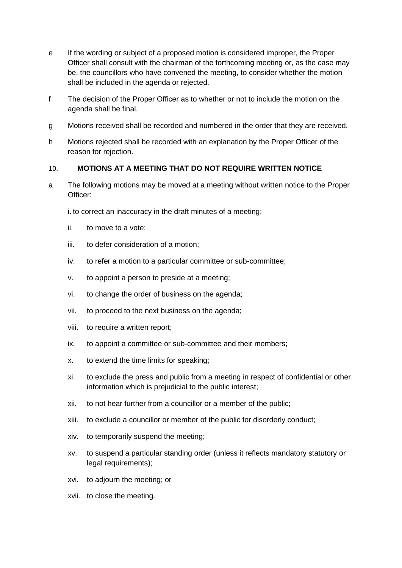- e If the wording or subject of a proposed motion is considered improper, the Proper Officer shall consult with the chairman of the forthcoming meeting or, as the case may be, the councillors who have convened the meeting, to consider whether the motion shall be included in the agenda or rejected.
- f The decision of the Proper Officer as to whether or not to include the motion on the agenda shall be final.
- g Motions received shall be recorded and numbered in the order that they are received.
- h Motions rejected shall be recorded with an explanation by the Proper Officer of the reason for rejection.

#### <span id="page-12-0"></span>10. **MOTIONS AT A MEETING THAT DO NOT REQUIRE WRITTEN NOTICE**

a The following motions may be moved at a meeting without written notice to the Proper Officer:

i. to correct an inaccuracy in the draft minutes of a meeting;

- ii. to move to a vote;
- iii. to defer consideration of a motion;
- iv. to refer a motion to a particular committee or sub-committee;
- v. to appoint a person to preside at a meeting;
- vi. to change the order of business on the agenda;
- vii. to proceed to the next business on the agenda;
- viii. to require a written report;
- ix. to appoint a committee or sub-committee and their members;
- x. to extend the time limits for speaking;
- xi. to exclude the press and public from a meeting in respect of confidential or other information which is prejudicial to the public interest;
- xii. to not hear further from a councillor or a member of the public;
- xiii. to exclude a councillor or member of the public for disorderly conduct;
- xiv. to temporarily suspend the meeting;
- xv. to suspend a particular standing order (unless it reflects mandatory statutory or legal requirements);
- xvi. to adjourn the meeting; or
- xvii. to close the meeting.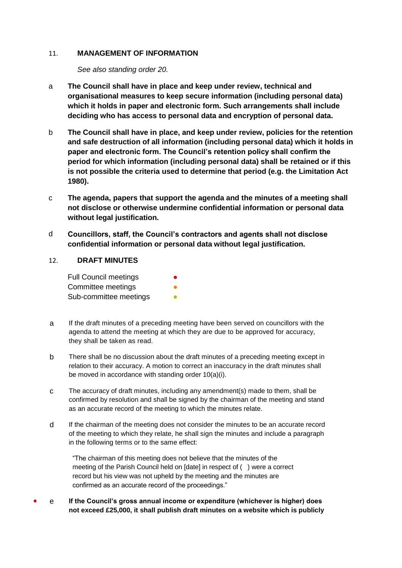#### <span id="page-13-0"></span>11. **MANAGEMENT OF INFORMATION**

*See also standing order 20.*

- a **The Council shall have in place and keep under review, technical and organisational measures to keep secure information (including personal data) which it holds in paper and electronic form. Such arrangements shall include deciding who has access to personal data and encryption of personal data.**
- b **The Council shall have in place, and keep under review, policies for the retention and safe destruction of all information (including personal data) which it holds in paper and electronic form. The Council's retention policy shall confirm the period for which information (including personal data) shall be retained or if this is not possible the criteria used to determine that period (e.g. the Limitation Act 1980).**
- c **The agenda, papers that support the agenda and the minutes of a meeting shall not disclose or otherwise undermine confidential information or personal data without legal justification.**
- d **Councillors, staff, the Council's contractors and agents shall not disclose confidential information or personal data without legal justification.**

#### <span id="page-13-1"></span>12. **DRAFT MINUTES**

Full Council meetings **•** Committee meetings **by a committee** meetings Sub-committee meetings **•** 

- a If the draft minutes of a preceding meeting have been served on councillors with the agenda to attend the meeting at which they are due to be approved for accuracy, they shall be taken as read.
- b There shall be no discussion about the draft minutes of a preceding meeting except in relation to their accuracy. A motion to correct an inaccuracy in the draft minutes shall be moved in accordance with standing order 10(a)(i).
- c The accuracy of draft minutes, including any amendment(s) made to them, shall be confirmed by resolution and shall be signed by the chairman of the meeting and stand as an accurate record of the meeting to which the minutes relate.
- d If the chairman of the meeting does not consider the minutes to be an accurate record of the meeting to which they relate, he shall sign the minutes and include a paragraph in the following terms or to the same effect:

"The chairman of this meeting does not believe that the minutes of the meeting of the Parish Council held on [date] in respect of ( ) were a correct record but his view was not upheld by the meeting and the minutes are confirmed as an accurate record of the proceedings."

● e **If the Council's gross annual income or expenditure (whichever is higher) does not exceed £25,000, it shall publish draft minutes on a website which is publicly**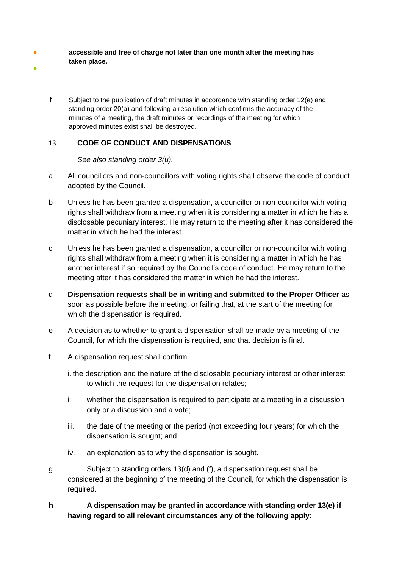- ● **accessible and free of charge not later than one month after the meeting has taken place.**
	- f Subject to the publication of draft minutes in accordance with standing order 12(e) and standing order 20(a) and following a resolution which confirms the accuracy of the minutes of a meeting, the draft minutes or recordings of the meeting for which approved minutes exist shall be destroyed.

# <span id="page-14-0"></span>13. **CODE OF CONDUCT AND DISPENSATIONS**

*See also standing order 3(u).* 

- a All councillors and non-councillors with voting rights shall observe the code of conduct adopted by the Council.
- b Unless he has been granted a dispensation, a councillor or non-councillor with voting rights shall withdraw from a meeting when it is considering a matter in which he has a disclosable pecuniary interest. He may return to the meeting after it has considered the matter in which he had the interest.
- c Unless he has been granted a dispensation, a councillor or non-councillor with voting rights shall withdraw from a meeting when it is considering a matter in which he has another interest if so required by the Council's code of conduct. He may return to the meeting after it has considered the matter in which he had the interest.
- d **Dispensation requests shall be in writing and submitted to the Proper Officer** as soon as possible before the meeting, or failing that, at the start of the meeting for which the dispensation is required.
- e A decision as to whether to grant a dispensation shall be made by a meeting of the Council, for which the dispensation is required, and that decision is final.
- f A dispensation request shall confirm:
	- i. the description and the nature of the disclosable pecuniary interest or other interest to which the request for the dispensation relates;
	- ii. whether the dispensation is required to participate at a meeting in a discussion only or a discussion and a vote;
	- iii. the date of the meeting or the period (not exceeding four years) for which the dispensation is sought; and
	- iv. an explanation as to why the dispensation is sought.
- g Subject to standing orders 13(d) and (f), a dispensation request shall be considered at the beginning of the meeting of the Council, for which the dispensation is required.
- **h A dispensation may be granted in accordance with standing order 13(e) if having regard to all relevant circumstances any of the following apply:**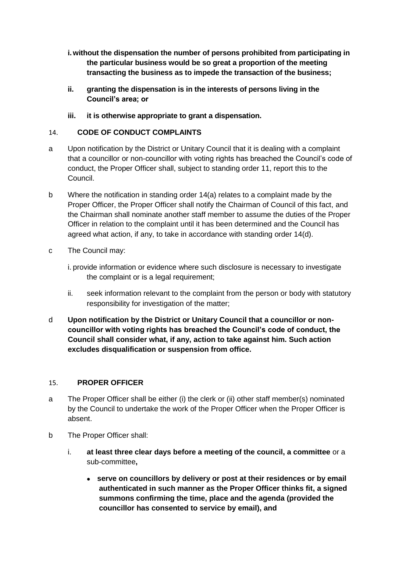- **i.without the dispensation the number of persons prohibited from participating in the particular business would be so great a proportion of the meeting transacting the business as to impede the transaction of the business;**
- **ii. granting the dispensation is in the interests of persons living in the Council's area; or**
- **iii. it is otherwise appropriate to grant a dispensation.**

### <span id="page-15-0"></span>14. **CODE OF CONDUCT COMPLAINTS**

- a Upon notification by the District or Unitary Council that it is dealing with a complaint that a councillor or non-councillor with voting rights has breached the Council's code of conduct, the Proper Officer shall, subject to standing order 11, report this to the Council.
- b Where the notification in standing order 14(a) relates to a complaint made by the Proper Officer, the Proper Officer shall notify the Chairman of Council of this fact, and the Chairman shall nominate another staff member to assume the duties of the Proper Officer in relation to the complaint until it has been determined and the Council has agreed what action, if any, to take in accordance with standing order 14(d).
- c The Council may:
	- i. provide information or evidence where such disclosure is necessary to investigate the complaint or is a legal requirement;
	- ii. seek information relevant to the complaint from the person or body with statutory responsibility for investigation of the matter;
- d **Upon notification by the District or Unitary Council that a councillor or noncouncillor with voting rights has breached the Council's code of conduct, the Council shall consider what, if any, action to take against him. Such action excludes disqualification or suspension from office.**

#### <span id="page-15-1"></span>15. **PROPER OFFICER**

- a The Proper Officer shall be either (i) the clerk or (ii) other staff member(s) nominated by the Council to undertake the work of the Proper Officer when the Proper Officer is absent.
- b The Proper Officer shall:
	- i. **at least three clear days before a meeting of the council, a committee** or a sub-committee**,**
		- **serve on councillors by delivery or post at their residences or by email authenticated in such manner as the Proper Officer thinks fit, a signed summons confirming the time, place and the agenda (provided the councillor has consented to service by email), and**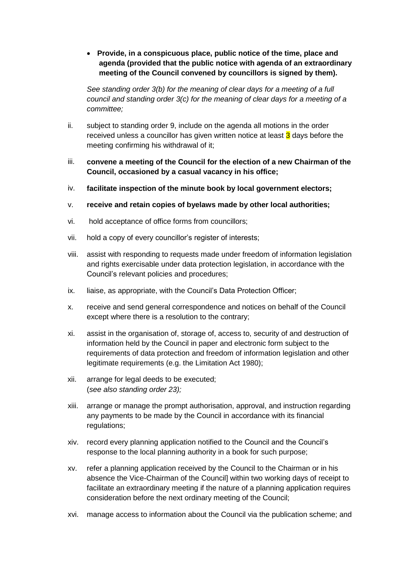• **Provide, in a conspicuous place, public notice of the time, place and agenda (provided that the public notice with agenda of an extraordinary meeting of the Council convened by councillors is signed by them).**

*See standing order 3(b) for the meaning of clear days for a meeting of a full council and standing order 3(c) for the meaning of clear days for a meeting of a committee;*

- ii. subject to standing order 9, include on the agenda all motions in the order received unless a councillor has given written notice at least  $3$  days before the meeting confirming his withdrawal of it;
- iii. **convene a meeting of the Council for the election of a new Chairman of the Council, occasioned by a casual vacancy in his office;**
- iv. **facilitate inspection of the minute book by local government electors;**
- v. **receive and retain copies of byelaws made by other local authorities;**
- vi. hold acceptance of office forms from councillors;
- vii. hold a copy of every councillor's register of interests;
- viii. assist with responding to requests made under freedom of information legislation and rights exercisable under data protection legislation, in accordance with the Council's relevant policies and procedures;
- ix. liaise, as appropriate, with the Council's Data Protection Officer;
- x. receive and send general correspondence and notices on behalf of the Council except where there is a resolution to the contrary;
- xi. assist in the organisation of, storage of, access to, security of and destruction of information held by the Council in paper and electronic form subject to the requirements of data protection and freedom of information legislation and other legitimate requirements (e.g. the Limitation Act 1980);
- xii. arrange for legal deeds to be executed; (*see also standing order 23);*
- xiii. arrange or manage the prompt authorisation, approval, and instruction regarding any payments to be made by the Council in accordance with its financial regulations;
- xiv. record every planning application notified to the Council and the Council's response to the local planning authority in a book for such purpose;
- xv. refer a planning application received by the Council to the Chairman or in his absence the Vice-Chairman of the Council] within two working days of receipt to facilitate an extraordinary meeting if the nature of a planning application requires consideration before the next ordinary meeting of the Council;
- xvi. manage access to information about the Council via the publication scheme; and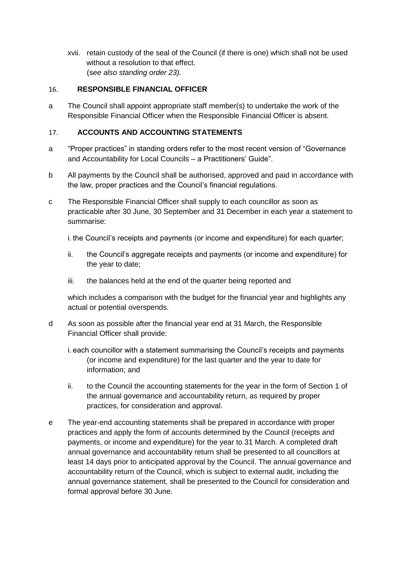xvii. retain custody of the seal of the Council (if there is one) which shall not be used without a resolution to that effect. (s*ee also standing order 23).*

## <span id="page-17-0"></span>16. **RESPONSIBLE FINANCIAL OFFICER**

a The Council shall appoint appropriate staff member(s) to undertake the work of the Responsible Financial Officer when the Responsible Financial Officer is absent.

## <span id="page-17-1"></span>17. **ACCOUNTS AND ACCOUNTING STATEMENTS**

- a "Proper practices" in standing orders refer to the most recent version of "Governance and Accountability for Local Councils – a Practitioners' Guide".
- b All payments by the Council shall be authorised, approved and paid in accordance with the law, proper practices and the Council's financial regulations.
- c The Responsible Financial Officer shall supply to each councillor as soon as practicable after 30 June, 30 September and 31 December in each year a statement to summarise:

i. the Council's receipts and payments (or income and expenditure) for each quarter;

- ii. the Council's aggregate receipts and payments (or income and expenditure) for the year to date;
- iii. the balances held at the end of the quarter being reported and

which includes a comparison with the budget for the financial year and highlights any actual or potential overspends.

- d As soon as possible after the financial year end at 31 March, the Responsible Financial Officer shall provide:
	- i. each councillor with a statement summarising the Council's receipts and payments (or income and expenditure) for the last quarter and the year to date for information; and
	- ii. to the Council the accounting statements for the year in the form of Section 1 of the annual governance and accountability return, as required by proper practices, for consideration and approval.
- e The year-end accounting statements shall be prepared in accordance with proper practices and apply the form of accounts determined by the Council (receipts and payments, or income and expenditure) for the year to 31 March. A completed draft annual governance and accountability return shall be presented to all councillors at least 14 days prior to anticipated approval by the Council. The annual governance and accountability return of the Council, which is subject to external audit, including the annual governance statement, shall be presented to the Council for consideration and formal approval before 30 June.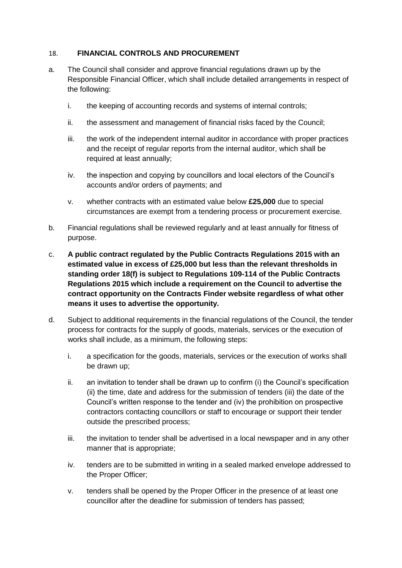## <span id="page-18-0"></span>18. **FINANCIAL CONTROLS AND PROCUREMENT**

- a. The Council shall consider and approve financial regulations drawn up by the Responsible Financial Officer, which shall include detailed arrangements in respect of the following:
	- i. the keeping of accounting records and systems of internal controls;
	- ii. the assessment and management of financial risks faced by the Council;
	- iii. the work of the independent internal auditor in accordance with proper practices and the receipt of regular reports from the internal auditor, which shall be required at least annually;
	- iv. the inspection and copying by councillors and local electors of the Council's accounts and/or orders of payments; and
	- v. whether contracts with an estimated value below **£25,000** due to special circumstances are exempt from a tendering process or procurement exercise.
- b. Financial regulations shall be reviewed regularly and at least annually for fitness of purpose.
- c. **A public contract regulated by the Public Contracts Regulations 2015 with an estimated value in excess of £25,000 but less than the relevant thresholds in standing order 18(f) is subject to Regulations 109-114 of the Public Contracts Regulations 2015 which include a requirement on the Council to advertise the contract opportunity on the Contracts Finder website regardless of what other means it uses to advertise the opportunity.**
- d. Subject to additional requirements in the financial regulations of the Council, the tender process for contracts for the supply of goods, materials, services or the execution of works shall include, as a minimum, the following steps:
	- i. a specification for the goods, materials, services or the execution of works shall be drawn up;
	- ii. an invitation to tender shall be drawn up to confirm (i) the Council's specification (ii) the time, date and address for the submission of tenders (iii) the date of the Council's written response to the tender and (iv) the prohibition on prospective contractors contacting councillors or staff to encourage or support their tender outside the prescribed process;
	- iii. the invitation to tender shall be advertised in a local newspaper and in any other manner that is appropriate;
	- iv. tenders are to be submitted in writing in a sealed marked envelope addressed to the Proper Officer;
	- v. tenders shall be opened by the Proper Officer in the presence of at least one councillor after the deadline for submission of tenders has passed;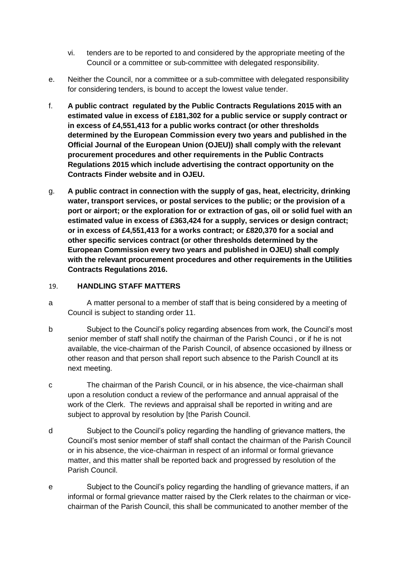- vi. tenders are to be reported to and considered by the appropriate meeting of the Council or a committee or sub-committee with delegated responsibility.
- e. Neither the Council, nor a committee or a sub-committee with delegated responsibility for considering tenders, is bound to accept the lowest value tender.
- f. **A public contract regulated by the Public Contracts Regulations 2015 with an estimated value in excess of £181,302 for a public service or supply contract or in excess of £4,551,413 for a public works contract (or other thresholds determined by the European Commission every two years and published in the Official Journal of the European Union (OJEU)) shall comply with the relevant procurement procedures and other requirements in the Public Contracts Regulations 2015 which include advertising the contract opportunity on the Contracts Finder website and in OJEU.**
- g. **A public contract in connection with the supply of gas, heat, electricity, drinking water, transport services, or postal services to the public; or the provision of a port or airport; or the exploration for or extraction of gas, oil or solid fuel with an estimated value in excess of £363,424 for a supply, services or design contract; or in excess of £4,551,413 for a works contract; or £820,370 for a social and other specific services contract (or other thresholds determined by the European Commission every two years and published in OJEU) shall comply with the relevant procurement procedures and other requirements in the Utilities Contracts Regulations 2016.**

### <span id="page-19-0"></span>19. **HANDLING STAFF MATTERS**

- a A matter personal to a member of staff that is being considered by a meeting of Council is subject to standing order 11.
- b Subject to the Council's policy regarding absences from work, the Council's most senior member of staff shall notify the chairman of the Parish Counci , or if he is not available, the vice-chairman of the Parish Council, of absence occasioned by illness or other reason and that person shall report such absence to the Parish Councll at its next meeting.
- c The chairman of the Parish Council, or in his absence, the vice-chairman shall upon a resolution conduct a review of the performance and annual appraisal of the work of the Clerk. The reviews and appraisal shall be reported in writing and are subject to approval by resolution by [the Parish Council.
- d Subject to the Council's policy regarding the handling of grievance matters, the Council's most senior member of staff shall contact the chairman of the Parish Council or in his absence, the vice-chairman in respect of an informal or formal grievance matter, and this matter shall be reported back and progressed by resolution of the Parish Council.
- e Subject to the Council's policy regarding the handling of grievance matters, if an informal or formal grievance matter raised by the Clerk relates to the chairman or vicechairman of the Parish Council, this shall be communicated to another member of the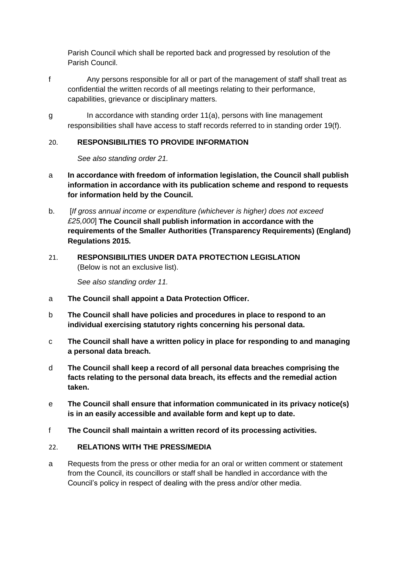Parish Council which shall be reported back and progressed by resolution of the Parish Council.

- f Any persons responsible for all or part of the management of staff shall treat as confidential the written records of all meetings relating to their performance, capabilities, grievance or disciplinary matters.
- g In accordance with standing order 11(a), persons with line management responsibilities shall have access to staff records referred to in standing order 19(f).

# <span id="page-20-0"></span>20. **RESPONSIBILITIES TO PROVIDE INFORMATION**

*See also standing order 21.*

- a **In accordance with freedom of information legislation, the Council shall publish information in accordance with its publication scheme and respond to requests for information held by the Council.**
- b. [*If gross annual income or expenditure (whichever is higher) does not exceed £25,000*] **The Council shall publish information in accordance with the requirements of the Smaller Authorities (Transparency Requirements) (England) Regulations 2015.**
- <span id="page-20-1"></span>21. **RESPONSIBILITIES UNDER DATA PROTECTION LEGISLATION**  (Below is not an exclusive list).

*See also standing order 11.*

- a **The Council shall appoint a Data Protection Officer.**
- b **The Council shall have policies and procedures in place to respond to an individual exercising statutory rights concerning his personal data.**
- c **The Council shall have a written policy in place for responding to and managing a personal data breach.**
- d **The Council shall keep a record of all personal data breaches comprising the facts relating to the personal data breach, its effects and the remedial action taken.**
- e **The Council shall ensure that information communicated in its privacy notice(s) is in an easily accessible and available form and kept up to date.**
- f **The Council shall maintain a written record of its processing activities.**

# <span id="page-20-2"></span>22. **RELATIONS WITH THE PRESS/MEDIA**

a Requests from the press or other media for an oral or written comment or statement from the Council, its councillors or staff shall be handled in accordance with the Council's policy in respect of dealing with the press and/or other media.